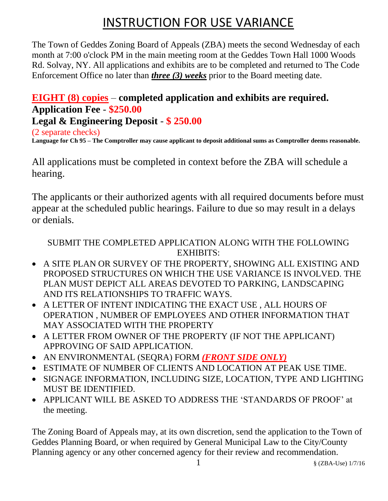# INSTRUCTION FOR USE VARIANCE

The Town of Geddes Zoning Board of Appeals (ZBA) meets the second Wednesday of each month at 7:00 o'clock PM in the main meeting room at the Geddes Town Hall 1000 Woods Rd. Solvay, NY. All applications and exhibits are to be completed and returned to The Code Enforcement Office no later than *three (3) weeks* prior to the Board meeting date.

### **EIGHT (8) copies** – **completed application and exhibits are required. Application Fee** - **\$250.00 Legal & Engineering Deposit** - **\$ 250.00**

(2 separate checks) **Language for Ch 95 – The Comptroller may cause applicant to deposit additional sums as Comptroller deems reasonable.**

All applications must be completed in context before the ZBA will schedule a hearing.

The applicants or their authorized agents with all required documents before must appear at the scheduled public hearings. Failure to due so may result in a delays or denials.

#### SUBMIT THE COMPLETED APPLICATION ALONG WITH THE FOLLOWING EXHIBITS:

- A SITE PLAN OR SURVEY OF THE PROPERTY, SHOWING ALL EXISTING AND PROPOSED STRUCTURES ON WHICH THE USE VARIANCE IS INVOLVED. THE PLAN MUST DEPICT ALL AREAS DEVOTED TO PARKING, LANDSCAPING AND ITS RELATIONSHIPS TO TRAFFIC WAYS.
- A LETTER OF INTENT INDICATING THE EXACT USE , ALL HOURS OF OPERATION , NUMBER OF EMPLOYEES AND OTHER INFORMATION THAT MAY ASSOCIATED WITH THE PROPERTY
- A LETTER FROM OWNER OF THE PROPERTY (IF NOT THE APPLICANT) APPROVING OF SAID APPLICATION.
- AN ENVIRONMENTAL (SEQRA) FORM *(FRONT SIDE ONLY)*
- ESTIMATE OF NUMBER OF CLIENTS AND LOCATION AT PEAK USE TIME.
- SIGNAGE INFORMATION, INCLUDING SIZE, LOCATION, TYPE AND LIGHTING MUST BE IDENTIFIED.
- APPLICANT WILL BE ASKED TO ADDRESS THE 'STANDARDS OF PROOF' at the meeting.

The Zoning Board of Appeals may, at its own discretion, send the application to the Town of Geddes Planning Board, or when required by General Municipal Law to the City/County Planning agency or any other concerned agency for their review and recommendation.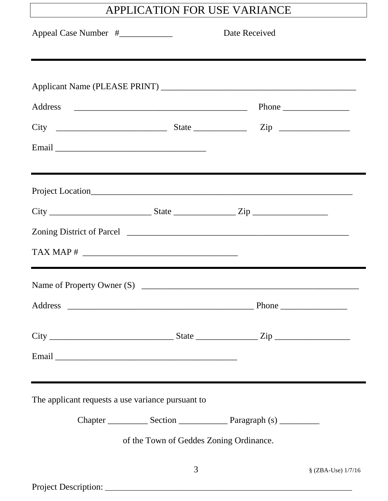## APPLICATION FOR USE VARIANCE

|                                                   |                                         | Date Received |                    |
|---------------------------------------------------|-----------------------------------------|---------------|--------------------|
|                                                   |                                         |               |                    |
| $\textbf{TAX MAP} \#$                             |                                         |               |                    |
| Address                                           |                                         |               | Phone              |
| The applicant requests a use variance pursuant to | of the Town of Geddes Zoning Ordinance. |               |                    |
|                                                   | 3                                       |               | § (ZBA-Use) 1/7/16 |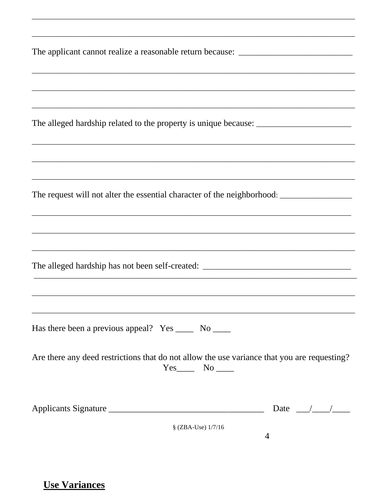| The applicant cannot realize a reasonable return because: _______________________           |
|---------------------------------------------------------------------------------------------|
| ,我们也不能在这里的人,我们也不能在这里的人,我们也不能在这里的人,我们也不能在这里的人,我们也不能在这里的人,我们也不能在这里的人,我们也不能在这里的人,我们也           |
|                                                                                             |
|                                                                                             |
|                                                                                             |
|                                                                                             |
|                                                                                             |
|                                                                                             |
|                                                                                             |
| Has there been a previous appeal? Yes _______ No ______                                     |
| Are there any deed restrictions that do not allow the use variance that you are requesting? |
| Date $\frac{1}{\sqrt{1-\frac{1}{2}}}$<br>Applicants Signature                               |
| § (ZBA-Use) 1/7/16<br>$\overline{4}$                                                        |

**Use Variances**